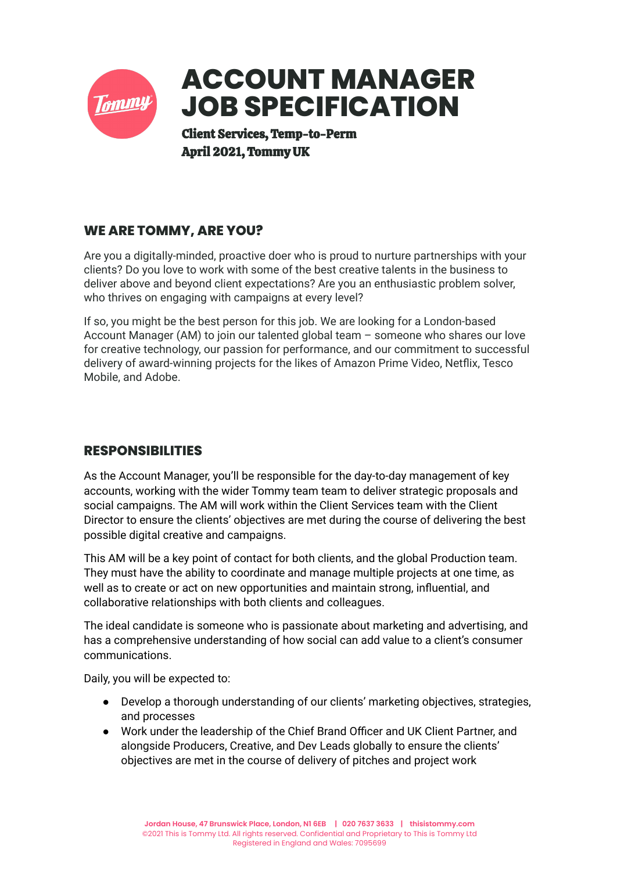

# **WE ARE TOMMY, ARE YOU?**

Are you a digitally-minded, proactive doer who is proud to nurture partnerships with your clients? Do you love to work with some of the best creative talents in the business to deliver above and beyond client expectations? Are you an enthusiastic problem solver, who thrives on engaging with campaigns at every level?

If so, you might be the best person for this job. We are looking for a London-based Account Manager (AM) to join our talented global team – someone who shares our love for creative technology, our passion for performance, and our commitment to successful delivery of award-winning projects for the likes of Amazon Prime Video, Netflix, Tesco Mobile, and Adobe.

## **RESPONSIBILITIES**

As the Account Manager, you'll be responsible for the day-to-day management of key accounts, working with the wider Tommy team team to deliver strategic proposals and social campaigns. The AM will work within the Client Services team with the Client Director to ensure the clients' objectives are met during the course of delivering the best possible digital creative and campaigns.

This AM will be a key point of contact for both clients, and the global Production team. They must have the ability to coordinate and manage multiple projects at one time, as well as to create or act on new opportunities and maintain strong, influential, and collaborative relationships with both clients and colleagues.

The ideal candidate is someone who is passionate about marketing and advertising, and has a comprehensive understanding of how social can add value to a client's consumer communications.

Daily, you will be expected to:

- Develop a thorough understanding of our clients' marketing objectives, strategies, and processes
- Work under the leadership of the Chief Brand Officer and UK Client Partner, and alongside Producers, Creative, and Dev Leads globally to ensure the clients' objectives are met in the course of delivery of pitches and project work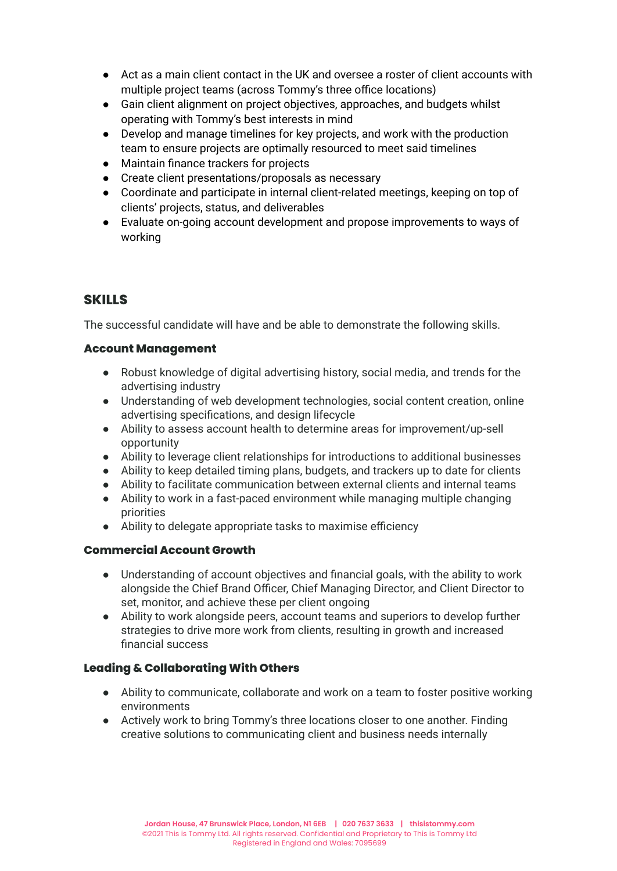- Act as a main client contact in the UK and oversee a roster of client accounts with multiple project teams (across Tommy's three office locations)
- Gain client alignment on project objectives, approaches, and budgets whilst operating with Tommy's best interests in mind
- Develop and manage timelines for key projects, and work with the production team to ensure projects are optimally resourced to meet said timelines
- Maintain finance trackers for projects
- Create client presentations/proposals as necessary
- Coordinate and participate in internal client-related meetings, keeping on top of clients' projects, status, and deliverables
- Evaluate on-going account development and propose improvements to ways of working

## **SKILLS**

The successful candidate will have and be able to demonstrate the following skills.

#### **Account Management**

- Robust knowledge of digital advertising history, social media, and trends for the advertising industry
- Understanding of web development technologies, social content creation, online advertising specifications, and design lifecycle
- Ability to assess account health to determine areas for improvement/up-sell opportunity
- Ability to leverage client relationships for introductions to additional businesses
- Ability to keep detailed timing plans, budgets, and trackers up to date for clients
- Ability to facilitate communication between external clients and internal teams
- Ability to work in a fast-paced environment while managing multiple changing priorities
- Ability to delegate appropriate tasks to maximise efficiency

#### **Commercial Account Growth**

- Understanding of account objectives and financial goals, with the ability to work alongside the Chief Brand Officer, Chief Managing Director, and Client Director to set, monitor, and achieve these per client ongoing
- Ability to work alongside peers, account teams and superiors to develop further strategies to drive more work from clients, resulting in growth and increased financial success

#### **Leading & Collaborating With Others**

- Ability to communicate, collaborate and work on a team to foster positive working environments
- Actively work to bring Tommy's three locations closer to one another. Finding creative solutions to communicating client and business needs internally